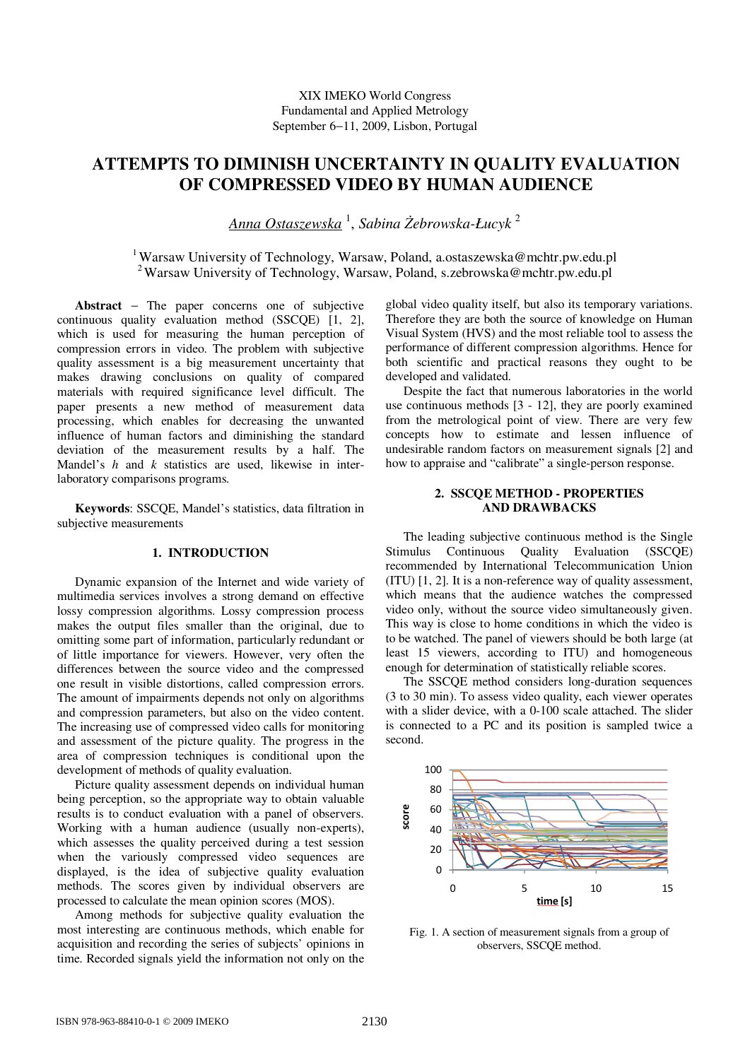# **ATTEMPTS TO DIMINISH UNCERTAINTY IN QUALITY EVALUATION OF COMPRESSED VIDEO BY HUMAN AUDIENCE**

*Anna Ostaszewska* <sup>1</sup> , *Sabina śebrowska-Łucyk* <sup>2</sup>

<sup>1</sup> Warsaw University of Technology, Warsaw, Poland, a.ostaszewska@mchtr.pw.edu.pl <sup>2</sup>Warsaw University of Technology, Warsaw, Poland, s.zebrowska@mchtr.pw.edu.pl

**Abstract** − The paper concerns one of subjective continuous quality evaluation method (SSCQE) [1, 2], which is used for measuring the human perception of compression errors in video. The problem with subjective quality assessment is a big measurement uncertainty that makes drawing conclusions on quality of compared materials with required significance level difficult. The paper presents a new method of measurement data processing, which enables for decreasing the unwanted influence of human factors and diminishing the standard deviation of the measurement results by a half. The Mandel's *h* and *k* statistics are used, likewise in interlaboratory comparisons programs.

**Keywords**: SSCQE, Mandel's statistics, data filtration in subjective measurements

### **1. INTRODUCTION**

Dynamic expansion of the Internet and wide variety of multimedia services involves a strong demand on effective lossy compression algorithms. Lossy compression process makes the output files smaller than the original, due to omitting some part of information, particularly redundant or of little importance for viewers. However, very often the differences between the source video and the compressed one result in visible distortions, called compression errors. The amount of impairments depends not only on algorithms and compression parameters, but also on the video content. The increasing use of compressed video calls for monitoring and assessment of the picture quality. The progress in the area of compression techniques is conditional upon the development of methods of quality evaluation.

Picture quality assessment depends on individual human being perception, so the appropriate way to obtain valuable results is to conduct evaluation with a panel of observers. Working with a human audience (usually non-experts), which assesses the quality perceived during a test session when the variously compressed video sequences are displayed, is the idea of subjective quality evaluation methods. The scores given by individual observers are processed to calculate the mean opinion scores (MOS).

Among methods for subjective quality evaluation the most interesting are continuous methods, which enable for acquisition and recording the series of subjects' opinions in time. Recorded signals yield the information not only on the global video quality itself, but also its temporary variations. Therefore they are both the source of knowledge on Human Visual System (HVS) and the most reliable tool to assess the performance of different compression algorithms. Hence for both scientific and practical reasons they ought to be developed and validated.

Despite the fact that numerous laboratories in the world use continuous methods [3 - 12], they are poorly examined from the metrological point of view. There are very few concepts how to estimate and lessen influence of undesirable random factors on measurement signals [2] and how to appraise and "calibrate" a single-person response.

## **2. SSCQE METHOD - PROPERTIES AND DRAWBACKS**

The leading subjective continuous method is the Single Stimulus Continuous Quality Evaluation (SSCQE) recommended by International Telecommunication Union (ITU) [1, 2]. It is a non-reference way of quality assessment, which means that the audience watches the compressed video only, without the source video simultaneously given. This way is close to home conditions in which the video is to be watched. The panel of viewers should be both large (at least 15 viewers, according to ITU) and homogeneous enough for determination of statistically reliable scores.

The SSCQE method considers long-duration sequences (3 to 30 min). To assess video quality, each viewer operates with a slider device, with a 0-100 scale attached. The slider is connected to a PC and its position is sampled twice a second.



Fig. 1. A section of measurement signals from a group of observers, SSCQE method.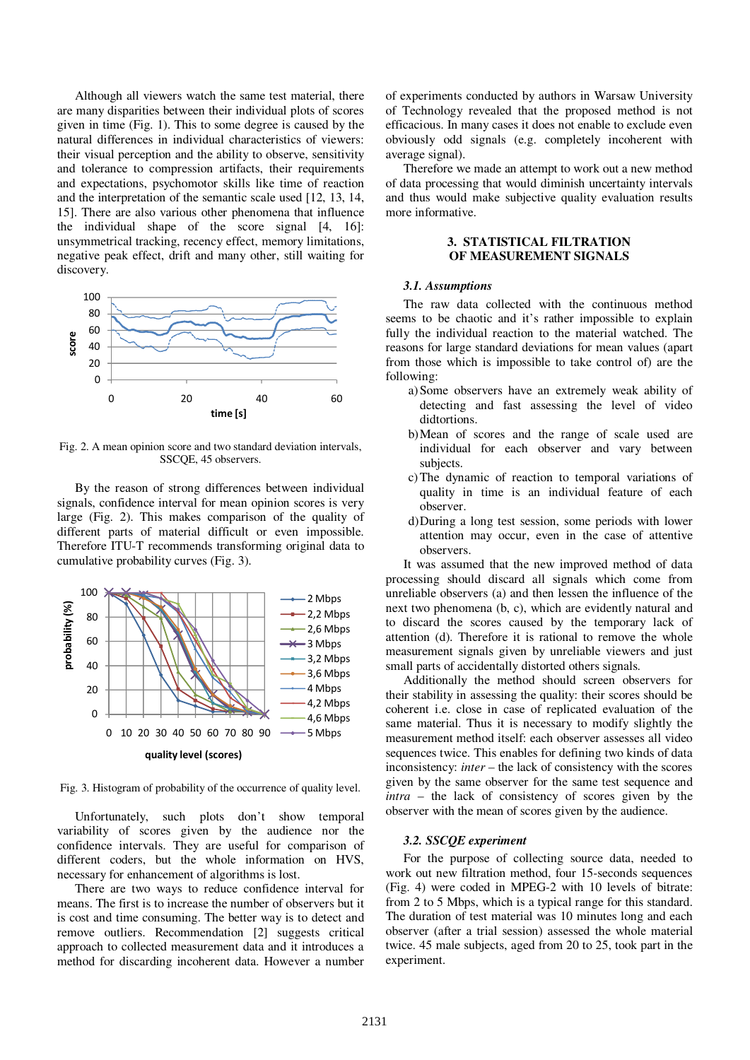Although all viewers watch the same test material, there are many disparities between their individual plots of scores given in time (Fig. 1). This to some degree is caused by the natural differences in individual characteristics of viewers: their visual perception and the ability to observe, sensitivity and tolerance to compression artifacts, their requirements and expectations, psychomotor skills like time of reaction and the interpretation of the semantic scale used [12, 13, 14, 15]. There are also various other phenomena that influence the individual shape of the score signal [4, 16]: unsymmetrical tracking, recency effect, memory limitations, negative peak effect, drift and many other, still waiting for discovery.



Fig. 2. A mean opinion score and two standard deviation intervals, SSCQE, 45 observers.

By the reason of strong differences between individual signals, confidence interval for mean opinion scores is very large (Fig. 2). This makes comparison of the quality of different parts of material difficult or even impossible. Therefore ITU-T recommends transforming original data to cumulative probability curves (Fig. 3).



Fig. 3. Histogram of probability of the occurrence of quality level.

Unfortunately, such plots don't show temporal variability of scores given by the audience nor the confidence intervals. They are useful for comparison of different coders, but the whole information on HVS, necessary for enhancement of algorithms is lost.

There are two ways to reduce confidence interval for means. The first is to increase the number of observers but it is cost and time consuming. The better way is to detect and remove outliers. Recommendation [2] suggests critical approach to collected measurement data and it introduces a method for discarding incoherent data. However a number of experiments conducted by authors in Warsaw University of Technology revealed that the proposed method is not efficacious. In many cases it does not enable to exclude even obviously odd signals (e.g. completely incoherent with average signal).

Therefore we made an attempt to work out a new method of data processing that would diminish uncertainty intervals and thus would make subjective quality evaluation results more informative.

## **3. STATISTICAL FILTRATION OF MEASUREMENT SIGNALS**

#### *3.1. Assumptions*

The raw data collected with the continuous method seems to be chaotic and it's rather impossible to explain fully the individual reaction to the material watched. The reasons for large standard deviations for mean values (apart from those which is impossible to take control of) are the following:

- a)Some observers have an extremely weak ability of detecting and fast assessing the level of video didtortions.
- b)Mean of scores and the range of scale used are individual for each observer and vary between subjects.
- c)The dynamic of reaction to temporal variations of quality in time is an individual feature of each observer.
- d)During a long test session, some periods with lower attention may occur, even in the case of attentive observers.

It was assumed that the new improved method of data processing should discard all signals which come from unreliable observers (a) and then lessen the influence of the next two phenomena (b, c), which are evidently natural and to discard the scores caused by the temporary lack of attention (d). Therefore it is rational to remove the whole measurement signals given by unreliable viewers and just small parts of accidentally distorted others signals.

Additionally the method should screen observers for their stability in assessing the quality: their scores should be coherent i.e. close in case of replicated evaluation of the same material. Thus it is necessary to modify slightly the measurement method itself: each observer assesses all video sequences twice. This enables for defining two kinds of data inconsistency: *inter* – the lack of consistency with the scores given by the same observer for the same test sequence and *intra* – the lack of consistency of scores given by the observer with the mean of scores given by the audience.

#### *3.2. SSCQE experiment*

For the purpose of collecting source data, needed to work out new filtration method, four 15-seconds sequences (Fig. 4) were coded in MPEG-2 with 10 levels of bitrate: from 2 to 5 Mbps, which is a typical range for this standard. The duration of test material was 10 minutes long and each observer (after a trial session) assessed the whole material twice. 45 male subjects, aged from 20 to 25, took part in the experiment.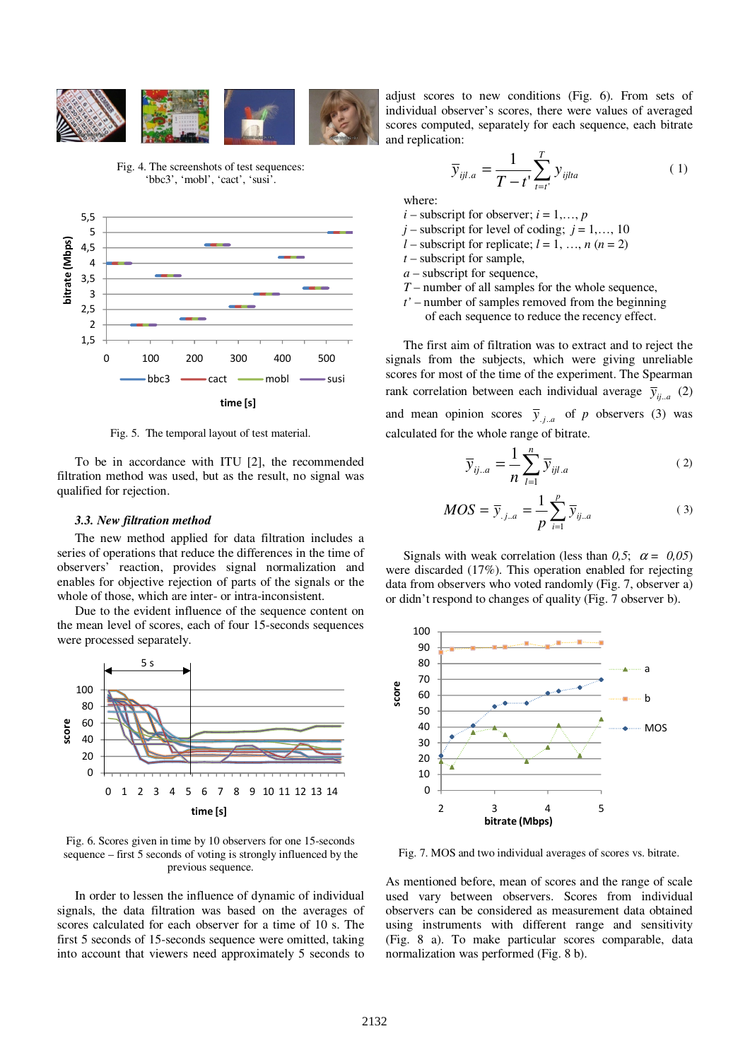

Fig. 4. The screenshots of test sequences: 'bbc3', 'mobl', 'cact', 'susi'.



Fig. 5. The temporal layout of test material.

To be in accordance with ITU [2], the recommended filtration method was used, but as the result, no signal was qualified for rejection.

#### *3.3. New filtration method*

The new method applied for data filtration includes a series of operations that reduce the differences in the time of observers' reaction, provides signal normalization and enables for objective rejection of parts of the signals or the whole of those, which are inter- or intra-inconsistent.

Due to the evident influence of the sequence content on the mean level of scores, each of four 15-seconds sequences were processed separately.



Fig. 6. Scores given in time by 10 observers for one 15-seconds sequence – first 5 seconds of voting is strongly influenced by the previous sequence.

In order to lessen the influence of dynamic of individual signals, the data filtration was based on the averages of scores calculated for each observer for a time of 10 s. The first 5 seconds of 15-seconds sequence were omitted, taking into account that viewers need approximately 5 seconds to

adjust scores to new conditions (Fig. 6). From sets of individual observer's scores, there were values of averaged scores computed, separately for each sequence, each bitrate and replication:

$$
\overline{y}_{ijl.a} = \frac{1}{T - t} \sum_{t=t'}^{T} y_{ijlta}
$$
 (1)

where:

- $i$  subscript for observer;  $i = 1, \ldots, p$
- $j$  subscript for level of coding;  $j = 1, \ldots, 10$
- *l* subscript for replicate;  $l = 1, ..., n$  ( $n = 2$ )
- *t* subscript for sample,
- *a* subscript for sequence,
- *T* number of all samples for the whole sequence,
- *t'* number of samples removed from the beginning
	- of each sequence to reduce the recency effect.

The first aim of filtration was to extract and to reject the signals from the subjects, which were giving unreliable scores for most of the time of the experiment. The Spearman rank correlation between each individual average  $\bar{y}_{ij,a}$  (2) and mean opinion scores  $\overline{y}_{j,a}$  of *p* observers (3) was calculated for the whole range of bitrate.

$$
\overline{y}_{ij..a} = \frac{1}{n} \sum_{l=1}^{n} \overline{y}_{ijl.a}
$$
 (2)

$$
MOS = \bar{y}_{.j.a} = \frac{1}{p} \sum_{i=1}^{p} \bar{y}_{ij.a}
$$
 (3)

Signals with weak correlation (less than  $0.5$ ;  $\alpha = 0.05$ ) were discarded (17%). This operation enabled for rejecting data from observers who voted randomly (Fig. 7, observer a) or didn't respond to changes of quality (Fig. 7 observer b).



Fig. 7. MOS and two individual averages of scores vs. bitrate.

As mentioned before, mean of scores and the range of scale used vary between observers. Scores from individual observers can be considered as measurement data obtained using instruments with different range and sensitivity (Fig. 8 a). To make particular scores comparable, data normalization was performed (Fig. 8 b).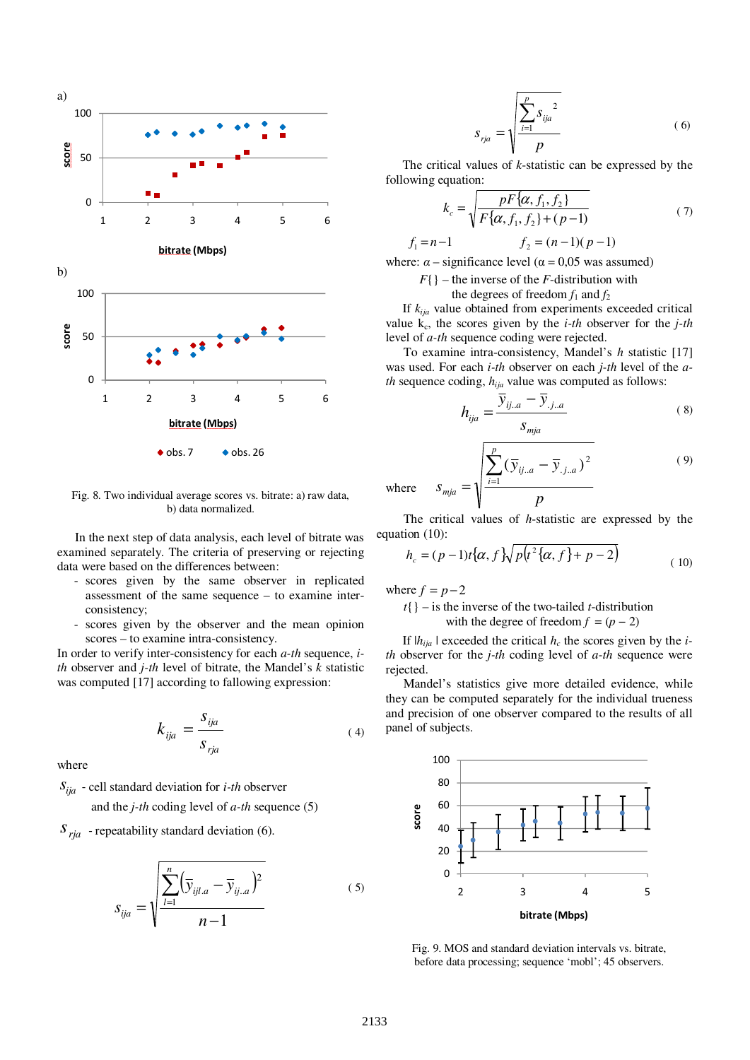

Fig. 8. Two individual average scores vs. bitrate: a) raw data, b) data normalized.

In the next step of data analysis, each level of bitrate was examined separately. The criteria of preserving or rejecting data were based on the differences between:

- scores given by the same observer in replicated assessment of the same sequence – to examine interconsistency;
- scores given by the observer and the mean opinion scores – to examine intra-consistency.

In order to verify inter-consistency for each *a-th* sequence, *ith* observer and *j-th* level of bitrate, the Mandel's *k* statistic was computed [17] according to fallowing expression:

$$
k_{ija} = \frac{s_{ija}}{s_{rja}} \tag{4}
$$

where

 $S_{ija}$  - cell standard deviation for *i-th* observer

and the *j-th* coding level of *a-th* sequence (5)

 $S<sub>ria</sub>$  - repeatability standard deviation (6).

$$
s_{ija} = \sqrt{\frac{\sum_{l=1}^{n} (\overline{y}_{ijl.a} - \overline{y}_{ij.a})^2}{n-1}}
$$
 (5)

$$
S_{rja} = \sqrt{\frac{\sum_{i=1}^{p} S_{ija}^{2}}{p}}
$$
 (6)

The critical values of *k*-statistic can be expressed by the following equation:

$$
k_c = \sqrt{\frac{pF\{\alpha, f_1, f_2\}}{F\{\alpha, f_1, f_2\} + (p-1)}}
$$
(7)

$$
f_1 = n - 1
$$
  $f_2 = (n - 1)(p - 1)$ 

where:  $\alpha$  – significance level ( $\alpha$  = 0,05 was assumed)

 $F\{\}$  – the inverse of the *F*-distribution with

the degrees of freedom  $f_1$  and  $f_2$ 

If *kija* value obtained from experiments exceeded critical value  $k_c$ , the scores given by the *i-th* observer for the *j-th* level of *a-th* sequence coding were rejected.

To examine intra-consistency, Mandel's *h* statistic [17] was used. For each *i-th* observer on each *j-th* level of the *ath* sequence coding, *hija* value was computed as follows:

$$
h_{ija} = \frac{\overline{y}_{ij.a} - \overline{y}_{.j.a}}{s_{mja}} \tag{8}
$$

$$
S_{mja} = \sqrt{\frac{\sum_{i=1}^{p} (\bar{y}_{ij..a} - \bar{y}_{.j..a})^2}{p}}
$$
 (9)

The critical values of *h*-statistic are expressed by the equation (10):

$$
h_c = (p-1)t\{\alpha, f\}\sqrt{p(t^2\{\alpha, f\} + p - 2)}
$$
(10)

where  $f = p-2$ 

where

*t*{} – is the inverse of the two-tailed *t*-distribution with the degree of freedom  $f = (p - 2)$ 

If  $|h_{ija}|$  exceeded the critical  $h_c$  the scores given by the *ith* observer for the *j-th* coding level of *a-th* sequence were rejected.

Mandel's statistics give more detailed evidence, while they can be computed separately for the individual trueness and precision of one observer compared to the results of all panel of subjects.



Fig. 9. MOS and standard deviation intervals vs. bitrate, before data processing; sequence 'mobl'; 45 observers.